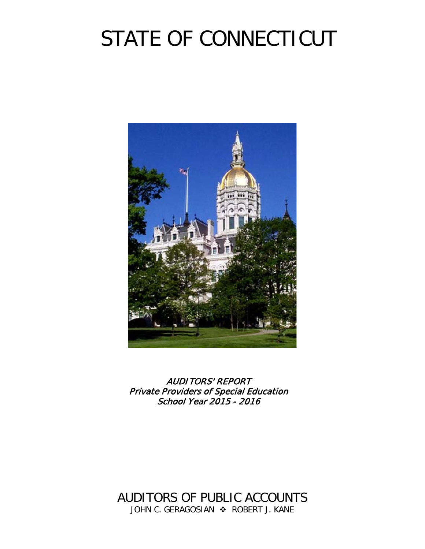# STATE OF CONNECTICUT



AUDITORS' REPORT Private Providers of Special Education School Year 2015 - 2016

AUDITORS OF PUBLIC ACCOUNTS JOHN C. GERAGOSIAN  $\cdot$  ROBERT J. KANE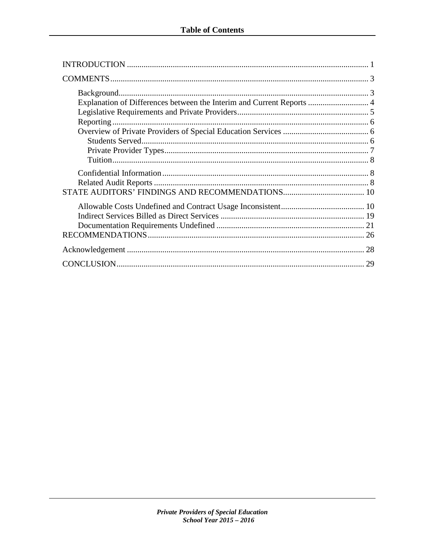| Explanation of Differences between the Interim and Current Reports  4 |    |
|-----------------------------------------------------------------------|----|
|                                                                       |    |
|                                                                       |    |
|                                                                       |    |
|                                                                       | 29 |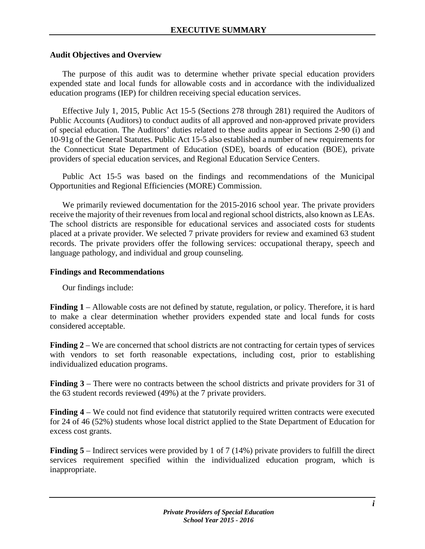# **Audit Objectives and Overview**

The purpose of this audit was to determine whether private special education providers expended state and local funds for allowable costs and in accordance with the individualized education programs (IEP) for children receiving special education services.

Effective July 1, 2015, Public Act 15-5 (Sections 278 through 281) required the Auditors of Public Accounts (Auditors) to conduct audits of all approved and non-approved private providers of special education. The Auditors' duties related to these audits appear in Sections 2-90 (i) and 10-91g of the General Statutes. Public Act 15-5 also established a number of new requirements for the Connecticut State Department of Education (SDE), boards of education (BOE), private providers of special education services, and Regional Education Service Centers.

Public Act 15-5 was based on the findings and recommendations of the Municipal Opportunities and Regional Efficiencies (MORE) Commission.

We primarily reviewed documentation for the 2015-2016 school year. The private providers receive the majority of their revenues from local and regional school districts, also known as LEAs. The school districts are responsible for educational services and associated costs for students placed at a private provider. We selected 7 private providers for review and examined 63 student records. The private providers offer the following services: occupational therapy, speech and language pathology, and individual and group counseling.

## **Findings and Recommendations**

Our findings include:

**Finding 1** – Allowable costs are not defined by statute, regulation, or policy. Therefore, it is hard to make a clear determination whether providers expended state and local funds for costs considered acceptable.

**Finding 2** – We are concerned that school districts are not contracting for certain types of services with vendors to set forth reasonable expectations, including cost, prior to establishing individualized education programs.

**Finding 3** – There were no contracts between the school districts and private providers for 31 of the 63 student records reviewed (49%) at the 7 private providers.

**Finding 4** – We could not find evidence that statutorily required written contracts were executed for 24 of 46 (52%) students whose local district applied to the State Department of Education for excess cost grants.

**Finding 5** – Indirect services were provided by 1 of 7 (14%) private providers to fulfill the direct services requirement specified within the individualized education program, which is inappropriate.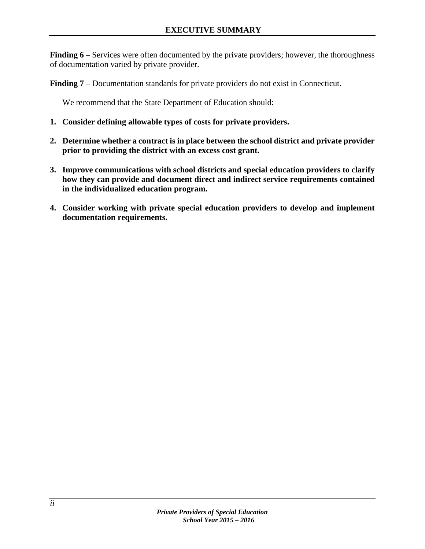**Finding 6** – Services were often documented by the private providers; however, the thoroughness of documentation varied by private provider.

**Finding 7** – Documentation standards for private providers do not exist in Connecticut.

We recommend that the State Department of Education should:

- **1. Consider defining allowable types of costs for private providers.**
- **2. Determine whether a contract is in place between the school district and private provider prior to providing the district with an excess cost grant.**
- **3. Improve communications with school districts and special education providers to clarify how they can provide and document direct and indirect service requirements contained in the individualized education program.**
- **4. Consider working with private special education providers to develop and implement documentation requirements.**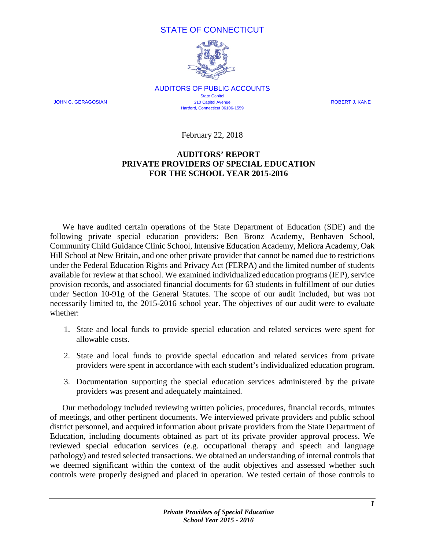# STATE OF CONNECTICUT



AUDITORS OF PUBLIC ACCOUNTS **State Capitol** JOHN C. GERAGOSIAN 210 Capitol Avenue ROBERT J. KANE Hartford, Connecticut 06106-1559

February 22, 2018

# **AUDITORS' REPORT PRIVATE PROVIDERS OF SPECIAL EDUCATION FOR THE SCHOOL YEAR 2015-2016**

<span id="page-4-0"></span>We have audited certain operations of the State Department of Education (SDE) and the following private special education providers: Ben Bronz Academy, Benhaven School, Community Child Guidance Clinic School, Intensive Education Academy, Meliora Academy, Oak Hill School at New Britain, and one other private provider that cannot be named due to restrictions under the Federal Education Rights and Privacy Act (FERPA) and the limited number of students available for review at that school. We examined individualized education programs (IEP), service provision records, and associated financial documents for 63 students in fulfillment of our duties under Section 10-91g of the General Statutes. The scope of our audit included, but was not necessarily limited to, the 2015-2016 school year. The objectives of our audit were to evaluate whether:

- 1. State and local funds to provide special education and related services were spent for allowable costs.
- 2. State and local funds to provide special education and related services from private providers were spent in accordance with each student's individualized education program.
- 3. Documentation supporting the special education services administered by the private providers was present and adequately maintained.

Our methodology included reviewing written policies, procedures, financial records, minutes of meetings, and other pertinent documents. We interviewed private providers and public school district personnel, and acquired information about private providers from the State Department of Education, including documents obtained as part of its private provider approval process. We reviewed special education services (e.g. occupational therapy and speech and language pathology) and tested selected transactions. We obtained an understanding of internal controls that we deemed significant within the context of the audit objectives and assessed whether such controls were properly designed and placed in operation. We tested certain of those controls to

*1*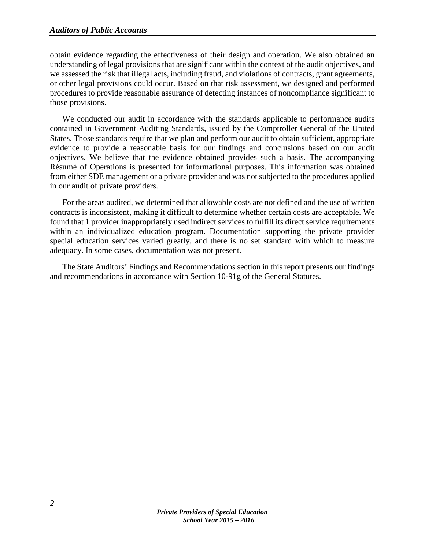obtain evidence regarding the effectiveness of their design and operation. We also obtained an understanding of legal provisions that are significant within the context of the audit objectives, and we assessed the risk that illegal acts, including fraud, and violations of contracts, grant agreements, or other legal provisions could occur. Based on that risk assessment, we designed and performed procedures to provide reasonable assurance of detecting instances of noncompliance significant to those provisions.

We conducted our audit in accordance with the standards applicable to performance audits contained in Government Auditing Standards, issued by the Comptroller General of the United States. Those standards require that we plan and perform our audit to obtain sufficient, appropriate evidence to provide a reasonable basis for our findings and conclusions based on our audit objectives. We believe that the evidence obtained provides such a basis. The accompanying Résumé of Operations is presented for informational purposes. This information was obtained from either SDE management or a private provider and was not subjected to the procedures applied in our audit of private providers.

For the areas audited, we determined that allowable costs are not defined and the use of written contracts is inconsistent, making it difficult to determine whether certain costs are acceptable. We found that 1 provider inappropriately used indirect services to fulfill its direct service requirements within an individualized education program. Documentation supporting the private provider special education services varied greatly, and there is no set standard with which to measure adequacy. In some cases, documentation was not present.

The State Auditors' Findings and Recommendations section in this report presents our findings and recommendations in accordance with Section 10-91g of the General Statutes.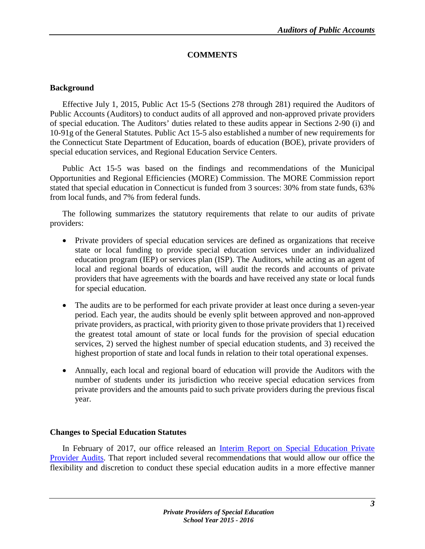# <span id="page-6-0"></span>**COMMENTS**

# <span id="page-6-1"></span>**Background**

Effective July 1, 2015, Public Act 15-5 (Sections 278 through 281) required the Auditors of Public Accounts (Auditors) to conduct audits of all approved and non-approved private providers of special education. The Auditors' duties related to these audits appear in Sections 2-90 (i) and 10-91g of the General Statutes. Public Act 15-5 also established a number of new requirements for the Connecticut State Department of Education, boards of education (BOE), private providers of special education services, and Regional Education Service Centers.

Public Act 15-5 was based on the findings and recommendations of the Municipal Opportunities and Regional Efficiencies (MORE) Commission. The MORE Commission report stated that special education in Connecticut is funded from 3 sources: 30% from state funds, 63% from local funds, and 7% from federal funds.

The following summarizes the statutory requirements that relate to our audits of private providers:

- Private providers of special education services are defined as organizations that receive state or local funding to provide special education services under an individualized education program (IEP) or services plan (ISP). The Auditors, while acting as an agent of local and regional boards of education, will audit the records and accounts of private providers that have agreements with the boards and have received any state or local funds for special education.
- The audits are to be performed for each private provider at least once during a seven-year period. Each year, the audits should be evenly split between approved and non-approved private providers, as practical, with priority given to those private providers that 1) received the greatest total amount of state or local funds for the provision of special education services, 2) served the highest number of special education students, and 3) received the highest proportion of state and local funds in relation to their total operational expenses.
- Annually, each local and regional board of education will provide the Auditors with the number of students under its jurisdiction who receive special education services from private providers and the amounts paid to such private providers during the previous fiscal year.

# **Changes to Special Education Statutes**

In February of 2017, our office released an <u>Interim Report on Special Education Private</u> [Provider Audits.](https://www.cga.ct.gov/apa/reports/special/SPECIAL_Interim%20Report%20on%20Special%20Education%20Private%20Provider%20Audits_20170206.pdf) That report included several recommendations that would allow our office the flexibility and discretion to conduct these special education audits in a more effective manner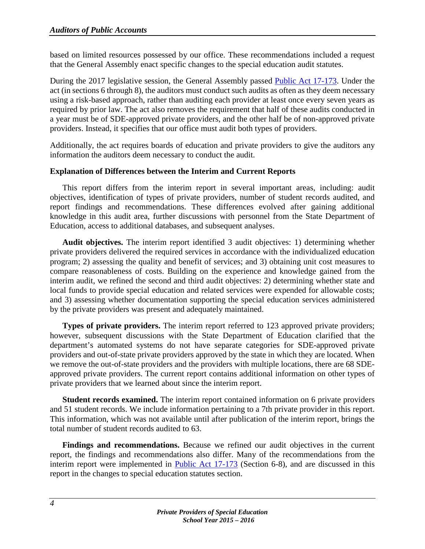based on limited resources possessed by our office. These recommendations included a request that the General Assembly enact specific changes to the special education audit statutes.

During the 2017 legislative session, the General Assembly passed [Public Act 17-173.](https://www.cga.ct.gov/2017/ACT/pa/2017PA-00173-R00HB-07253-PA.htm) Under the act (in sections 6 through 8), the auditors must conduct such audits as often as they deem necessary using a risk-based approach, rather than auditing each provider at least once every seven years as required by prior law. The act also removes the requirement that half of these audits conducted in a year must be of SDE-approved private providers, and the other half be of non-approved private providers. Instead, it specifies that our office must audit both types of providers.

Additionally, the act requires boards of education and private providers to give the auditors any information the auditors deem necessary to conduct the audit.

# <span id="page-7-0"></span>**Explanation of Differences between the Interim and Current Reports**

This report differs from the interim report in several important areas, including: audit objectives, identification of types of private providers, number of student records audited, and report findings and recommendations. These differences evolved after gaining additional knowledge in this audit area, further discussions with personnel from the State Department of Education, access to additional databases, and subsequent analyses.

**Audit objectives.** The interim report identified 3 audit objectives: 1) determining whether private providers delivered the required services in accordance with the individualized education program; 2) assessing the quality and benefit of services; and 3) obtaining unit cost measures to compare reasonableness of costs. Building on the experience and knowledge gained from the interim audit, we refined the second and third audit objectives: 2) determining whether state and local funds to provide special education and related services were expended for allowable costs; and 3) assessing whether documentation supporting the special education services administered by the private providers was present and adequately maintained.

**Types of private providers.** The interim report referred to 123 approved private providers; however, subsequent discussions with the State Department of Education clarified that the department's automated systems do not have separate categories for SDE-approved private providers and out-of-state private providers approved by the state in which they are located. When we remove the out-of-state providers and the providers with multiple locations, there are 68 SDEapproved private providers. The current report contains additional information on other types of private providers that we learned about since the interim report.

**Student records examined.** The interim report contained information on 6 private providers and 51 student records. We include information pertaining to a 7th private provider in this report. This information, which was not available until after publication of the interim report, brings the total number of student records audited to 63.

**Findings and recommendations.** Because we refined our audit objectives in the current report, the findings and recommendations also differ. Many of the recommendations from the interim report were implemented in **Public Act 17-173** (Section 6-8), and are discussed in this report in the changes to special education statutes section.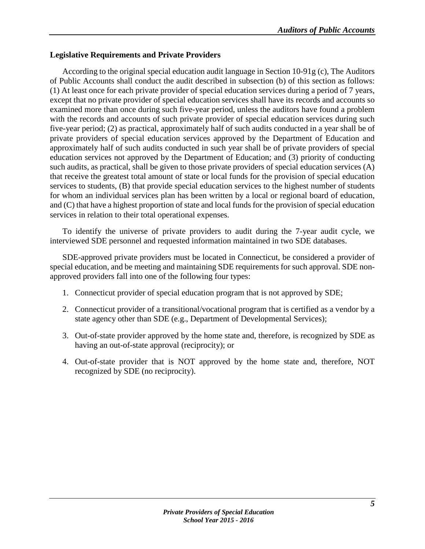# <span id="page-8-0"></span>**Legislative Requirements and Private Providers**

According to the original special education audit language in Section 10-91g (c), The Auditors of Public Accounts shall conduct the audit described in subsection (b) of this section as follows: (1) At least once for each private provider of special education services during a period of 7 years, except that no private provider of special education services shall have its records and accounts so examined more than once during such five-year period, unless the auditors have found a problem with the records and accounts of such private provider of special education services during such five-year period; (2) as practical, approximately half of such audits conducted in a year shall be of private providers of special education services approved by the Department of Education and approximately half of such audits conducted in such year shall be of private providers of special education services not approved by the Department of Education; and (3) priority of conducting such audits, as practical, shall be given to those private providers of special education services (A) that receive the greatest total amount of state or local funds for the provision of special education services to students, (B) that provide special education services to the highest number of students for whom an individual services plan has been written by a local or regional board of education, and (C) that have a highest proportion of state and local funds for the provision of special education services in relation to their total operational expenses.

To identify the universe of private providers to audit during the 7-year audit cycle, we interviewed SDE personnel and requested information maintained in two SDE databases.

SDE-approved private providers must be located in Connecticut, be considered a provider of special education, and be meeting and maintaining SDE requirements for such approval. SDE nonapproved providers fall into one of the following four types:

- 1. Connecticut provider of special education program that is not approved by SDE;
- 2. Connecticut provider of a transitional/vocational program that is certified as a vendor by a state agency other than SDE (e.g., Department of Developmental Services);
- 3. Out-of-state provider approved by the home state and, therefore, is recognized by SDE as having an out-of-state approval (reciprocity); or
- 4. Out-of-state provider that is NOT approved by the home state and, therefore, NOT recognized by SDE (no reciprocity).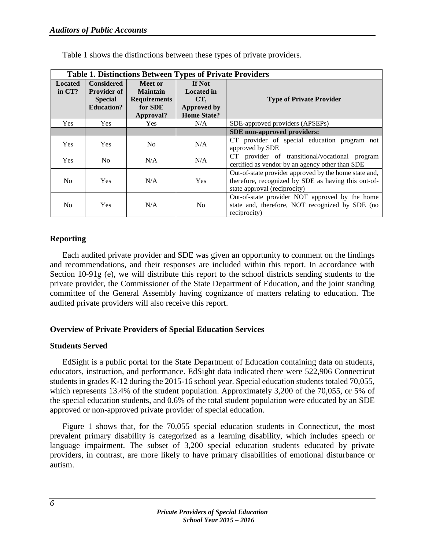|                            | <b>Table 1. Distinctions Between Types of Private Providers</b>                |                                                                           |                                                                                       |                                                                                                                                              |  |  |  |
|----------------------------|--------------------------------------------------------------------------------|---------------------------------------------------------------------------|---------------------------------------------------------------------------------------|----------------------------------------------------------------------------------------------------------------------------------------------|--|--|--|
| <b>Located</b><br>in $CT?$ | <b>Considered</b><br><b>Provider of</b><br><b>Special</b><br><b>Education?</b> | Meet or<br><b>Maintain</b><br><b>Requirements</b><br>for SDE<br>Approval? | <b>If Not</b><br><b>Located</b> in<br>CT,<br><b>Approved by</b><br><b>Home State?</b> | <b>Type of Private Provider</b>                                                                                                              |  |  |  |
| Yes                        | <b>Yes</b>                                                                     | <b>Yes</b>                                                                | N/A                                                                                   | SDE-approved providers (APSEPs)                                                                                                              |  |  |  |
|                            |                                                                                |                                                                           |                                                                                       | SDE non-approved providers:                                                                                                                  |  |  |  |
| <b>Yes</b>                 | <b>Yes</b>                                                                     | N <sub>0</sub>                                                            | N/A                                                                                   | CT provider of special education program not<br>approved by SDE                                                                              |  |  |  |
| <b>Yes</b>                 | N <sub>0</sub>                                                                 | N/A                                                                       | N/A                                                                                   | CT provider of transitional/vocational program<br>certified as vendor by an agency other than SDE                                            |  |  |  |
| N <sub>0</sub>             | <b>Yes</b>                                                                     | N/A                                                                       | <b>Yes</b>                                                                            | Out-of-state provider approved by the home state and,<br>therefore, recognized by SDE as having this out-of-<br>state approval (reciprocity) |  |  |  |
| N <sub>0</sub>             | <b>Yes</b>                                                                     | N/A                                                                       | N <sub>o</sub>                                                                        | Out-of-state provider NOT approved by the home<br>state and, therefore, NOT recognized by SDE (no<br>reciprocity)                            |  |  |  |

Table 1 shows the distinctions between these types of private providers.

# <span id="page-9-0"></span>**Reporting**

Each audited private provider and SDE was given an opportunity to comment on the findings and recommendations, and their responses are included within this report. In accordance with Section 10-91g (e), we will distribute this report to the school districts sending students to the private provider, the Commissioner of the State Department of Education, and the joint standing committee of the General Assembly having cognizance of matters relating to education. The audited private providers will also receive this report.

# <span id="page-9-1"></span>**Overview of Private Providers of Special Education Services**

# <span id="page-9-2"></span>**Students Served**

EdSight is a public portal for the State Department of Education containing data on students, educators, instruction, and performance. EdSight data indicated there were 522,906 Connecticut students in grades K-12 during the 2015-16 school year. Special education students totaled 70,055, which represents 13.4% of the student population. Approximately 3,200 of the 70,055, or 5% of the special education students, and 0.6% of the total student population were educated by an SDE approved or non-approved private provider of special education.

Figure 1 shows that, for the 70,055 special education students in Connecticut, the most prevalent primary disability is categorized as a learning disability, which includes speech or language impairment. The subset of 3,200 special education students educated by private providers, in contrast, are more likely to have primary disabilities of emotional disturbance or autism.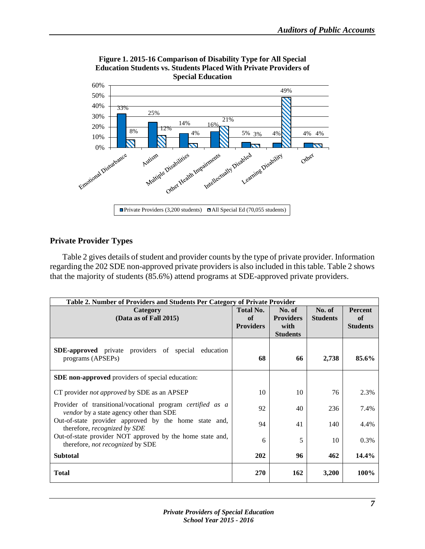

**Figure 1. 2015-16 Comparison of Disability Type for All Special Education Students vs. Students Placed With Private Providers of Special Education**

# <span id="page-10-0"></span>**Private Provider Types**

Table 2 gives details of student and provider counts by the type of private provider. Information regarding the 202 SDE non-approved private providers is also included in this table. Table 2 shows that the majority of students (85.6%) attend programs at SDE-approved private providers.

| Table 2. Number of Providers and Students Per Category of Private Provider                                          |                                            |                                                       |                           |                                         |  |  |
|---------------------------------------------------------------------------------------------------------------------|--------------------------------------------|-------------------------------------------------------|---------------------------|-----------------------------------------|--|--|
| Category<br>(Data as of Fall 2015)                                                                                  | <b>Total No.</b><br>of<br><b>Providers</b> | No. of<br><b>Providers</b><br>with<br><b>Students</b> | No. of<br><b>Students</b> | <b>Percent</b><br>of<br><b>Students</b> |  |  |
| <b>SDE-approved</b> private providers of special education<br>programs (APSEPs)                                     | 68                                         | 66                                                    | 2,738                     | 85.6%                                   |  |  |
| <b>SDE</b> non-approved providers of special education:                                                             |                                            |                                                       |                           |                                         |  |  |
| CT provider not approved by SDE as an APSEP                                                                         | 10                                         | 10                                                    | 76                        | 2.3%                                    |  |  |
| Provider of transitional/vocational program <i>certified as a</i><br><i>vendor</i> by a state agency other than SDE | 92                                         | 40                                                    | 236                       | 7.4%                                    |  |  |
| Out-of-state provider approved by the home state and,<br>therefore, <i>recognized</i> by SDE                        | 94                                         | 41                                                    | 140                       | 4.4%                                    |  |  |
| Out-of-state provider NOT approved by the home state and,<br>therefore, not recognized by SDE                       | 6                                          | 5                                                     | 10                        | 0.3%                                    |  |  |
| <b>Subtotal</b>                                                                                                     | 202                                        | 96                                                    | 462                       | 14.4%                                   |  |  |
| <b>Total</b>                                                                                                        | 270                                        | 162                                                   | 3,200                     | 100%                                    |  |  |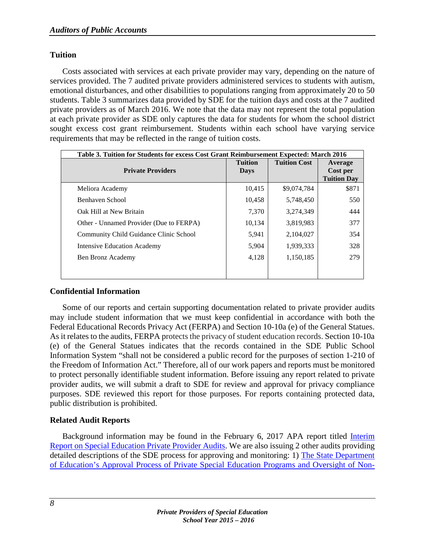# <span id="page-11-0"></span>**Tuition**

Costs associated with services at each private provider may vary, depending on the nature of services provided. The 7 audited private providers administered services to students with autism, emotional disturbances, and other disabilities to populations ranging from approximately 20 to 50 students. Table 3 summarizes data provided by SDE for the tuition days and costs at the 7 audited private providers as of March 2016. We note that the data may not represent the total population at each private provider as SDE only captures the data for students for whom the school district sought excess cost grant reimbursement. Students within each school have varying service requirements that may be reflected in the range of tuition costs.

| Table 3. Tuition for Students for excess Cost Grant Reimbursement Expected: March 2016 |                               |                     |                                           |  |
|----------------------------------------------------------------------------------------|-------------------------------|---------------------|-------------------------------------------|--|
| <b>Private Providers</b>                                                               | <b>Tuition</b><br><b>Days</b> | <b>Tuition Cost</b> | Average<br>Cost per<br><b>Tuition Day</b> |  |
| Meliora Academy                                                                        | 10,415                        | \$9,074,784         | \$871                                     |  |
| Benhaven School                                                                        | 10,458                        | 5,748,450           | 550                                       |  |
| Oak Hill at New Britain                                                                | 7,370                         | 3,274,349           | 444                                       |  |
| Other - Unnamed Provider (Due to FERPA)                                                | 10,134                        | 3,819,983           | 377                                       |  |
| Community Child Guidance Clinic School                                                 | 5,941                         | 2,104,027           | 354                                       |  |
| <b>Intensive Education Academy</b>                                                     | 5,904                         | 1,939,333           | 328                                       |  |
| Ben Bronz Academy                                                                      | 4,128                         | 1,150,185           | 279                                       |  |
|                                                                                        |                               |                     |                                           |  |

# <span id="page-11-1"></span>**Confidential Information**

Some of our reports and certain supporting documentation related to private provider audits may include student information that we must keep confidential in accordance with both the Federal Educational Records Privacy Act (FERPA) and Section 10-10a (e) of the General Statues. As it relates to the audits, FERPA protects the privacy of student education records. Section 10-10a (e) of the General Statues indicates that the records contained in the SDE Public School Information System "shall not be considered a public record for the purposes of section 1-210 of the Freedom of Information Act." Therefore, all of our work papers and reports must be monitored to protect personally identifiable student information. Before issuing any report related to private provider audits, we will submit a draft to SDE for review and approval for privacy compliance purposes. SDE reviewed this report for those purposes. For reports containing protected data, public distribution is prohibited.

# <span id="page-11-2"></span>**Related Audit Reports**

Background information may be found in the February 6, 2017 APA report titled [Interim](https://www.cga.ct.gov/apa/reports/special/SPECIAL_Interim%20Report%20on%20Special%20Education%20Private%20Provider%20Audits_20170206.pdf)  [Report on Special Education Private Provider Audits.](https://www.cga.ct.gov/apa/reports/special/SPECIAL_Interim%20Report%20on%20Special%20Education%20Private%20Provider%20Audits_20170206.pdf) We are also issuing 2 other audits providing detailed descriptions of the SDE process for approving and monitoring: 1) [The State Department](https://www.cga.ct.gov/apa/reports/performance/PERFORMANCE_State%20Department%20of%20Education%27s%20Approval%20Process%20of%20Private%20Special%20Education%20Programs%20and%20Oversight%20of%20Non-approved%20Programs_20180222.pdf)  [of Education's Approval Process of Private Special Education Programs and Oversight of Non-](https://www.cga.ct.gov/apa/reports/performance/PERFORMANCE_State%20Department%20of%20Education%27s%20Approval%20Process%20of%20Private%20Special%20Education%20Programs%20and%20Oversight%20of%20Non-approved%20Programs_20180222.pdf)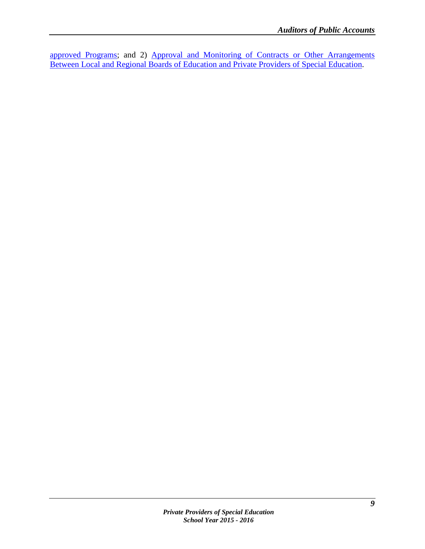[approved Programs;](https://www.cga.ct.gov/apa/reports/performance/PERFORMANCE_State%20Department%20of%20Education%27s%20Approval%20Process%20of%20Private%20Special%20Education%20Programs%20and%20Oversight%20of%20Non-approved%20Programs_20180222.pdf) and 2) [Approval and Monitoring of Contracts or Other Arrangements](https://www.cga.ct.gov/apa/reports/performance/PERFORMANCE_Monitoring%20of%20Contracts%20or%20Other%20Arrangements%20between%20Local%20and%20Regional%20Boards%20of%20Education%20and%20Private%20Providers%20of%20Special%20Education_20180222.pdf)  [Between Local and Regional Boards of Education and Private Providers of Special Education.](https://www.cga.ct.gov/apa/reports/performance/PERFORMANCE_Monitoring%20of%20Contracts%20or%20Other%20Arrangements%20between%20Local%20and%20Regional%20Boards%20of%20Education%20and%20Private%20Providers%20of%20Special%20Education_20180222.pdf)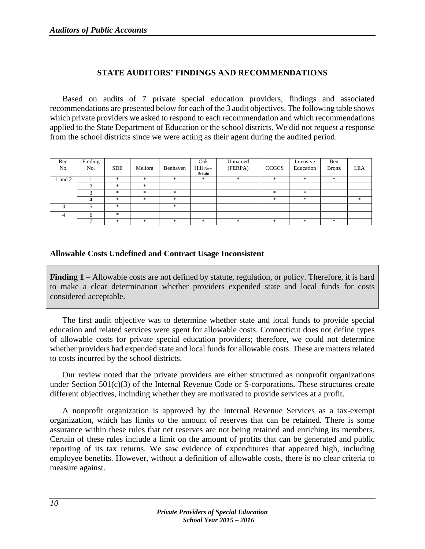# **STATE AUDITORS' FINDINGS AND RECOMMENDATIONS**

<span id="page-13-0"></span>Based on audits of 7 private special education providers, findings and associated recommendations are presented below for each of the 3 audit objectives. The following table shows which private providers we asked to respond to each recommendation and which recommendations applied to the State Department of Education or the school districts. We did not request a response from the school districts since we were acting as their agent during the audited period.

| Rec.<br>No. | Finding<br>No. | <b>SDE</b> | Meliora       | Benhaven | Oak<br>Hill New<br>Britain | Unnamed<br>(FERPA) | CCGCS | Intensive<br>Education | Ben<br><b>Bronz</b> | <b>LEA</b> |
|-------------|----------------|------------|---------------|----------|----------------------------|--------------------|-------|------------------------|---------------------|------------|
| and 2       |                | $*$        | $\frac{1}{2}$ | $*$      | *                          | $*$                | *     | $\ast$                 | $*$                 |            |
|             | ⌒              | $*$        | $\frac{1}{2}$ |          |                            |                    |       |                        |                     |            |
|             |                | *          | *             | $*$      |                            |                    | *     | *                      |                     |            |
|             |                | $*$        | 宋             | $*$      |                            |                    | *     | *                      |                     | $*$        |
|             |                | $*$        |               | $*$      |                            |                    |       |                        |                     |            |
| 4           |                | $*$        |               |          |                            |                    |       |                        |                     |            |
|             |                | $*$        | 宋             | ×.       | $*$                        | $*$                | *     | $*$                    | $*$                 |            |

# <span id="page-13-1"></span>**Allowable Costs Undefined and Contract Usage Inconsistent**

**Finding 1** – Allowable costs are not defined by statute, regulation, or policy. Therefore, it is hard to make a clear determination whether providers expended state and local funds for costs considered acceptable.

The first audit objective was to determine whether state and local funds to provide special education and related services were spent for allowable costs. Connecticut does not define types of allowable costs for private special education providers; therefore, we could not determine whether providers had expended state and local funds for allowable costs. These are matters related to costs incurred by the school districts.

Our review noted that the private providers are either structured as nonprofit organizations under Section 501(c)(3) of the Internal Revenue Code or S-corporations. These structures create different objectives, including whether they are motivated to provide services at a profit.

A nonprofit organization is approved by the Internal Revenue Services as a tax-exempt organization, which has limits to the amount of reserves that can be retained. There is some assurance within these rules that net reserves are not being retained and enriching its members. Certain of these rules include a limit on the amount of profits that can be generated and public reporting of its tax returns. We saw evidence of expenditures that appeared high, including employee benefits. However, without a definition of allowable costs, there is no clear criteria to measure against.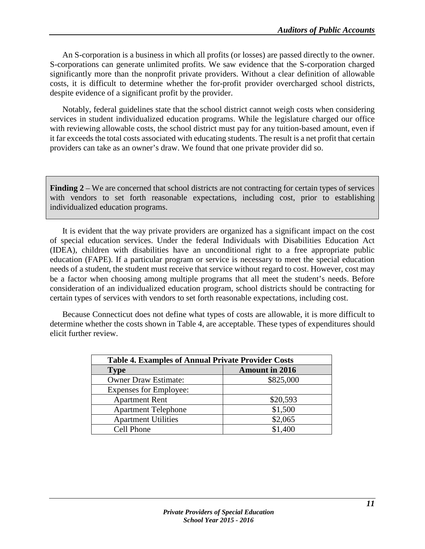An S-corporation is a business in which all profits (or losses) are passed directly to the owner. S-corporations can generate unlimited profits. We saw evidence that the S-corporation charged significantly more than the nonprofit private providers. Without a clear definition of allowable costs, it is difficult to determine whether the for-profit provider overcharged school districts, despite evidence of a significant profit by the provider.

Notably, federal guidelines state that the school district cannot weigh costs when considering services in student individualized education programs. While the legislature charged our office with reviewing allowable costs, the school district must pay for any tuition-based amount, even if it far exceeds the total costs associated with educating students. The result is a net profit that certain providers can take as an owner's draw. We found that one private provider did so.

**Finding 2** – We are concerned that school districts are not contracting for certain types of services with vendors to set forth reasonable expectations, including cost, prior to establishing individualized education programs.

It is evident that the way private providers are organized has a significant impact on the cost of special education services. Under the federal Individuals with Disabilities Education Act (IDEA), children with disabilities have an unconditional right to a free appropriate public education (FAPE). If a particular program or service is necessary to meet the special education needs of a student, the student must receive that service without regard to cost. However, cost may be a factor when choosing among multiple programs that all meet the student's needs. Before consideration of an individualized education program, school districts should be contracting for certain types of services with vendors to set forth reasonable expectations, including cost.

Because Connecticut does not define what types of costs are allowable, it is more difficult to determine whether the costs shown in Table 4, are acceptable. These types of expenditures should elicit further review.

| <b>Table 4. Examples of Annual Private Provider Costs</b> |                       |  |  |  |
|-----------------------------------------------------------|-----------------------|--|--|--|
| <b>Type</b>                                               | <b>Amount in 2016</b> |  |  |  |
| <b>Owner Draw Estimate:</b>                               | \$825,000             |  |  |  |
| <b>Expenses for Employee:</b>                             |                       |  |  |  |
| <b>Apartment Rent</b>                                     | \$20,593              |  |  |  |
| <b>Apartment Telephone</b>                                | \$1,500               |  |  |  |
| <b>Apartment Utilities</b>                                | \$2,065               |  |  |  |
| Cell Phone                                                | \$1,400               |  |  |  |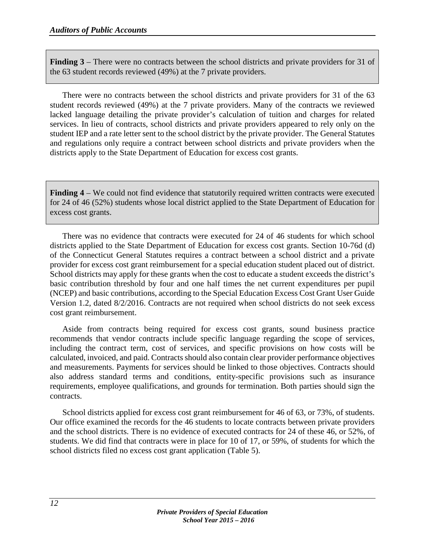**Finding 3** – There were no contracts between the school districts and private providers for 31 of the 63 student records reviewed (49%) at the 7 private providers.

There were no contracts between the school districts and private providers for 31 of the 63 student records reviewed (49%) at the 7 private providers. Many of the contracts we reviewed lacked language detailing the private provider's calculation of tuition and charges for related services. In lieu of contracts, school districts and private providers appeared to rely only on the student IEP and a rate letter sent to the school district by the private provider. The General Statutes and regulations only require a contract between school districts and private providers when the districts apply to the State Department of Education for excess cost grants.

**Finding 4** – We could not find evidence that statutorily required written contracts were executed for 24 of 46 (52%) students whose local district applied to the State Department of Education for excess cost grants.

There was no evidence that contracts were executed for 24 of 46 students for which school districts applied to the State Department of Education for excess cost grants. Section 10-76d (d) of the Connecticut General Statutes requires a contract between a school district and a private provider for excess cost grant reimbursement for a special education student placed out of district. School districts may apply for these grants when the cost to educate a student exceeds the district's basic contribution threshold by four and one half times the net current expenditures per pupil (NCEP) and basic contributions, according to the Special Education Excess Cost Grant User Guide Version 1.2, dated 8/2/2016. Contracts are not required when school districts do not seek excess cost grant reimbursement.

Aside from contracts being required for excess cost grants, sound business practice recommends that vendor contracts include specific language regarding the scope of services, including the contract term, cost of services, and specific provisions on how costs will be calculated, invoiced, and paid. Contracts should also contain clear provider performance objectives and measurements. Payments for services should be linked to those objectives. Contracts should also address standard terms and conditions, entity-specific provisions such as insurance requirements, employee qualifications, and grounds for termination. Both parties should sign the contracts.

School districts applied for excess cost grant reimbursement for 46 of 63, or 73%, of students. Our office examined the records for the 46 students to locate contracts between private providers and the school districts. There is no evidence of executed contracts for 24 of these 46, or 52%, of students. We did find that contracts were in place for 10 of 17, or 59%, of students for which the school districts filed no excess cost grant application (Table 5).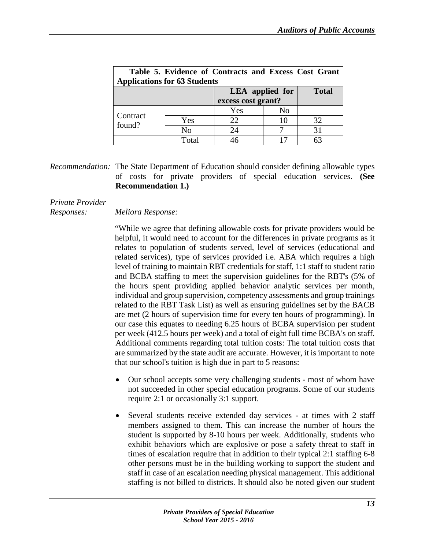| Table 5. Evidence of Contracts and Excess Cost Grant<br><b>Applications for 63 Students</b> |                |                                              |              |    |  |  |
|---------------------------------------------------------------------------------------------|----------------|----------------------------------------------|--------------|----|--|--|
|                                                                                             |                | <b>LEA</b> applied for<br>excess cost grant? | <b>Total</b> |    |  |  |
|                                                                                             |                | Yes                                          | No           |    |  |  |
| Contract<br>found?                                                                          | Yes            | 22                                           |              | 32 |  |  |
|                                                                                             | N <sub>0</sub> | 24                                           |              | 31 |  |  |
|                                                                                             | Total          |                                              |              | 63 |  |  |

*Recommendation:* The State Department of Education should consider defining allowable types of costs for private providers of special education services. **(See Recommendation 1.)**

# *Private Provider*

# *Responses: Meliora Response:*

"While we agree that defining allowable costs for private providers would be helpful, it would need to account for the differences in private programs as it relates to population of students served, level of services (educational and related services), type of services provided i.e. ABA which requires a high level of training to maintain RBT credentials for staff, 1:1 staff to student ratio and BCBA staffing to meet the supervision guidelines for the RBT's (5% of the hours spent providing applied behavior analytic services per month, individual and group supervision, competency assessments and group trainings related to the RBT Task List) as well as ensuring guidelines set by the BACB are met (2 hours of supervision time for every ten hours of programming). In our case this equates to needing 6.25 hours of BCBA supervision per student per week (412.5 hours per week) and a total of eight full time BCBA's on staff. Additional comments regarding total tuition costs: The total tuition costs that are summarized by the state audit are accurate. However, it is important to note that our school's tuition is high due in part to 5 reasons:

- Our school accepts some very challenging students most of whom have not succeeded in other special education programs. Some of our students require 2:1 or occasionally 3:1 support.
- Several students receive extended day services at times with 2 staff members assigned to them. This can increase the number of hours the student is supported by 8-10 hours per week. Additionally, students who exhibit behaviors which are explosive or pose a safety threat to staff in times of escalation require that in addition to their typical 2:1 staffing 6-8 other persons must be in the building working to support the student and staff in case of an escalation needing physical management. This additional staffing is not billed to districts. It should also be noted given our student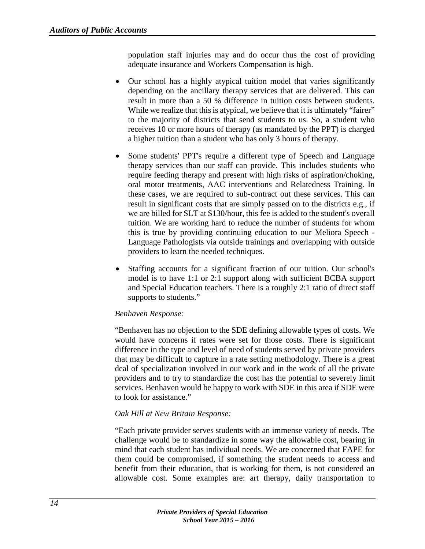population staff injuries may and do occur thus the cost of providing adequate insurance and Workers Compensation is high.

- Our school has a highly atypical tuition model that varies significantly depending on the ancillary therapy services that are delivered. This can result in more than a 50 % difference in tuition costs between students. While we realize that this is atypical, we believe that it is ultimately "fairer" to the majority of districts that send students to us. So, a student who receives 10 or more hours of therapy (as mandated by the PPT) is charged a higher tuition than a student who has only 3 hours of therapy.
- Some students' PPT's require a different type of Speech and Language therapy services than our staff can provide. This includes students who require feeding therapy and present with high risks of aspiration/choking, oral motor treatments, AAC interventions and Relatedness Training. In these cases, we are required to sub-contract out these services. This can result in significant costs that are simply passed on to the districts e.g., if we are billed for SLT at \$130/hour, this fee is added to the student's overall tuition. We are working hard to reduce the number of students for whom this is true by providing continuing education to our Meliora Speech - Language Pathologists via outside trainings and overlapping with outside providers to learn the needed techniques.
- Staffing accounts for a significant fraction of our tuition. Our school's model is to have 1:1 or 2:1 support along with sufficient BCBA support and Special Education teachers. There is a roughly 2:1 ratio of direct staff supports to students."

# *Benhaven Response:*

"Benhaven has no objection to the SDE defining allowable types of costs. We would have concerns if rates were set for those costs. There is significant difference in the type and level of need of students served by private providers that may be difficult to capture in a rate setting methodology. There is a great deal of specialization involved in our work and in the work of all the private providers and to try to standardize the cost has the potential to severely limit services. Benhaven would be happy to work with SDE in this area if SDE were to look for assistance."

# *Oak Hill at New Britain Response:*

"Each private provider serves students with an immense variety of needs. The challenge would be to standardize in some way the allowable cost, bearing in mind that each student has individual needs. We are concerned that FAPE for them could be compromised, if something the student needs to access and benefit from their education, that is working for them, is not considered an allowable cost. Some examples are: art therapy, daily transportation to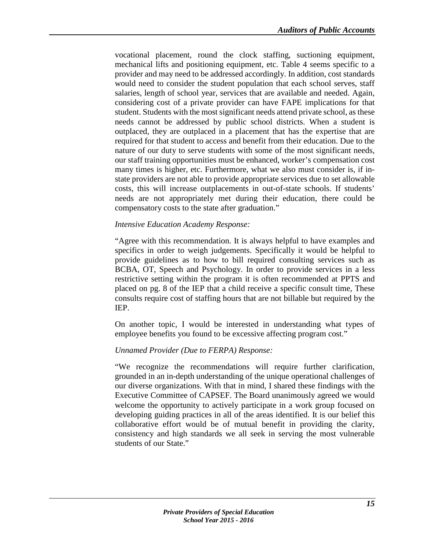vocational placement, round the clock staffing, suctioning equipment, mechanical lifts and positioning equipment, etc. Table 4 seems specific to a provider and may need to be addressed accordingly. In addition, cost standards would need to consider the student population that each school serves, staff salaries, length of school year, services that are available and needed. Again, considering cost of a private provider can have FAPE implications for that student. Students with the most significant needs attend private school, as these needs cannot be addressed by public school districts. When a student is outplaced, they are outplaced in a placement that has the expertise that are required for that student to access and benefit from their education. Due to the nature of our duty to serve students with some of the most significant needs, our staff training opportunities must be enhanced, worker's compensation cost many times is higher, etc. Furthermore, what we also must consider is, if instate providers are not able to provide appropriate services due to set allowable costs, this will increase outplacements in out-of-state schools. If students' needs are not appropriately met during their education, there could be compensatory costs to the state after graduation."

## *Intensive Education Academy Response:*

"Agree with this recommendation. It is always helpful to have examples and specifics in order to weigh judgements. Specifically it would be helpful to provide guidelines as to how to bill required consulting services such as BCBA, OT, Speech and Psychology. In order to provide services in a less restrictive setting within the program it is often recommended at PPTS and placed on pg. 8 of the IEP that a child receive a specific consult time, These consults require cost of staffing hours that are not billable but required by the IEP.

On another topic, I would be interested in understanding what types of employee benefits you found to be excessive affecting program cost."

#### *Unnamed Provider (Due to FERPA) Response:*

"We recognize the recommendations will require further clarification, grounded in an in-depth understanding of the unique operational challenges of our diverse organizations. With that in mind, I shared these findings with the Executive Committee of CAPSEF. The Board unanimously agreed we would welcome the opportunity to actively participate in a work group focused on developing guiding practices in all of the areas identified. It is our belief this collaborative effort would be of mutual benefit in providing the clarity, consistency and high standards we all seek in serving the most vulnerable students of our State."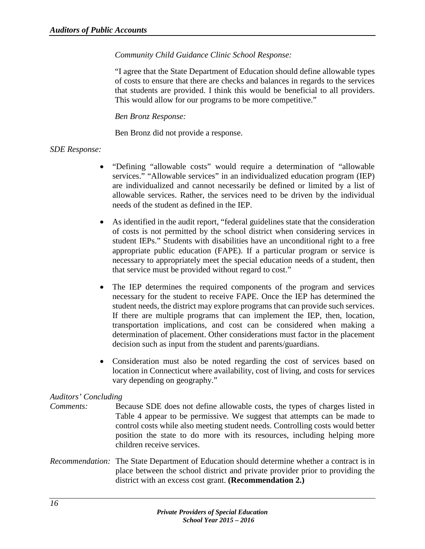# *Community Child Guidance Clinic School Response:*

"I agree that the State Department of Education should define allowable types of costs to ensure that there are checks and balances in regards to the services that students are provided. I think this would be beneficial to all providers. This would allow for our programs to be more competitive."

*Ben Bronz Response:* 

Ben Bronz did not provide a response.

## *SDE Response:*

- "Defining "allowable costs" would require a determination of "allowable services." "Allowable services" in an individualized education program (IEP) are individualized and cannot necessarily be defined or limited by a list of allowable services. Rather, the services need to be driven by the individual needs of the student as defined in the IEP.
- As identified in the audit report, "federal guidelines state that the consideration of costs is not permitted by the school district when considering services in student IEPs." Students with disabilities have an unconditional right to a free appropriate public education (FAPE). If a particular program or service is necessary to appropriately meet the special education needs of a student, then that service must be provided without regard to cost."
- The IEP determines the required components of the program and services necessary for the student to receive FAPE. Once the IEP has determined the student needs, the district may explore programs that can provide such services. If there are multiple programs that can implement the IEP, then, location, transportation implications, and cost can be considered when making a determination of placement. Other considerations must factor in the placement decision such as input from the student and parents/guardians.
- Consideration must also be noted regarding the cost of services based on location in Connecticut where availability, cost of living, and costs for services vary depending on geography."

# *Auditors' Concluding*

- *Comments:* Because SDE does not define allowable costs, the types of charges listed in Table 4 appear to be permissive. We suggest that attempts can be made to control costs while also meeting student needs. Controlling costs would better position the state to do more with its resources, including helping more children receive services.
- *Recommendation:* The State Department of Education should determine whether a contract is in place between the school district and private provider prior to providing the district with an excess cost grant. **(Recommendation 2.)**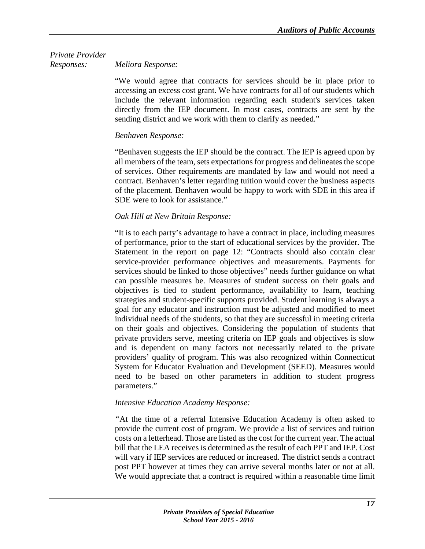# *Private Provider Responses: Meliora Response:*

"We would agree that contracts for services should be in place prior to accessing an excess cost grant. We have contracts for all of our students which include the relevant information regarding each student's services taken directly from the IEP document. In most cases, contracts are sent by the sending district and we work with them to clarify as needed."

# *Benhaven Response:*

"Benhaven suggests the IEP should be the contract. The IEP is agreed upon by all members of the team, sets expectations for progress and delineates the scope of services. Other requirements are mandated by law and would not need a contract. Benhaven's letter regarding tuition would cover the business aspects of the placement. Benhaven would be happy to work with SDE in this area if SDE were to look for assistance."

# *Oak Hill at New Britain Response:*

"It is to each party's advantage to have a contract in place, including measures of performance, prior to the start of educational services by the provider. The Statement in the report on page 12: "Contracts should also contain clear service-provider performance objectives and measurements. Payments for services should be linked to those objectives" needs further guidance on what can possible measures be. Measures of student success on their goals and objectives is tied to student performance, availability to learn, teaching strategies and student-specific supports provided. Student learning is always a goal for any educator and instruction must be adjusted and modified to meet individual needs of the students, so that they are successful in meeting criteria on their goals and objectives. Considering the population of students that private providers serve, meeting criteria on IEP goals and objectives is slow and is dependent on many factors not necessarily related to the private providers' quality of program. This was also recognized within Connecticut System for Educator Evaluation and Development (SEED). Measures would need to be based on other parameters in addition to student progress parameters."

# *Intensive Education Academy Response:*

*"*At the time of a referral Intensive Education Academy is often asked to provide the current cost of program. We provide a list of services and tuition costs on a letterhead. Those are listed as the cost for the current year. The actual bill that the LEA receives is determined as the result of each PPT and IEP. Cost will vary if IEP services are reduced or increased. The district sends a contract post PPT however at times they can arrive several months later or not at all. We would appreciate that a contract is required within a reasonable time limit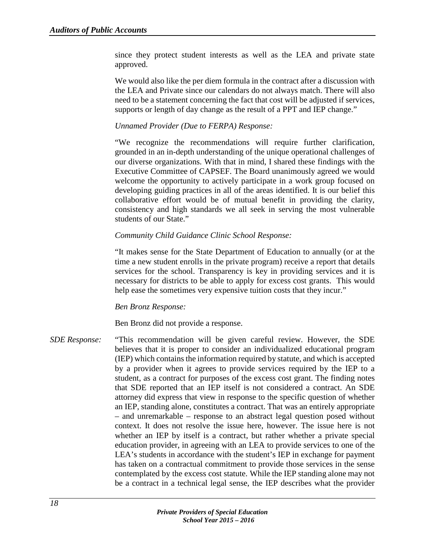since they protect student interests as well as the LEA and private state approved.

We would also like the per diem formula in the contract after a discussion with the LEA and Private since our calendars do not always match. There will also need to be a statement concerning the fact that cost will be adjusted if services, supports or length of day change as the result of a PPT and IEP change."

## *Unnamed Provider (Due to FERPA) Response:*

"We recognize the recommendations will require further clarification, grounded in an in-depth understanding of the unique operational challenges of our diverse organizations. With that in mind, I shared these findings with the Executive Committee of CAPSEF. The Board unanimously agreed we would welcome the opportunity to actively participate in a work group focused on developing guiding practices in all of the areas identified. It is our belief this collaborative effort would be of mutual benefit in providing the clarity, consistency and high standards we all seek in serving the most vulnerable students of our State."

#### *Community Child Guidance Clinic School Response:*

"It makes sense for the State Department of Education to annually (or at the time a new student enrolls in the private program) receive a report that details services for the school. Transparency is key in providing services and it is necessary for districts to be able to apply for excess cost grants. This would help ease the sometimes very expensive tuition costs that they incur."

#### *Ben Bronz Response:*

Ben Bronz did not provide a response.

*SDE Response:* "This recommendation will be given careful review. However, the SDE believes that it is proper to consider an individualized educational program (IEP) which contains the information required by statute, and which is accepted by a provider when it agrees to provide services required by the IEP to a student, as a contract for purposes of the excess cost grant. The finding notes that SDE reported that an IEP itself is not considered a contract. An SDE attorney did express that view in response to the specific question of whether an IEP, standing alone, constitutes a contract. That was an entirely appropriate – and unremarkable – response to an abstract legal question posed without context. It does not resolve the issue here, however. The issue here is not whether an IEP by itself is a contract, but rather whether a private special education provider, in agreeing with an LEA to provide services to one of the LEA's students in accordance with the student's IEP in exchange for payment has taken on a contractual commitment to provide those services in the sense contemplated by the excess cost statute. While the IEP standing alone may not be a contract in a technical legal sense, the IEP describes what the provider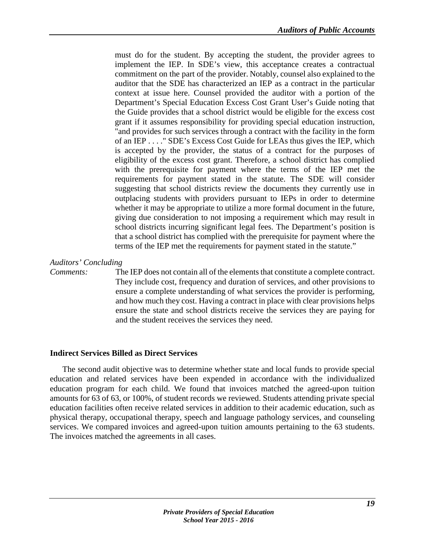must do for the student. By accepting the student, the provider agrees to implement the IEP. In SDE's view, this acceptance creates a contractual commitment on the part of the provider. Notably, counsel also explained to the auditor that the SDE has characterized an IEP as a contract in the particular context at issue here. Counsel provided the auditor with a portion of the Department's Special Education Excess Cost Grant User's Guide noting that the Guide provides that a school district would be eligible for the excess cost grant if it assumes responsibility for providing special education instruction, "and provides for such services through a contract with the facility in the form of an IEP . . . ." SDE's Excess Cost Guide for LEAs thus gives the IEP, which is accepted by the provider, the status of a contract for the purposes of eligibility of the excess cost grant. Therefore, a school district has complied with the prerequisite for payment where the terms of the IEP met the requirements for payment stated in the statute. The SDE will consider suggesting that school districts review the documents they currently use in outplacing students with providers pursuant to IEPs in order to determine whether it may be appropriate to utilize a more formal document in the future, giving due consideration to not imposing a requirement which may result in school districts incurring significant legal fees. The Department's position is that a school district has complied with the prerequisite for payment where the terms of the IEP met the requirements for payment stated in the statute."

## *Auditors' Concluding*

*Comments:* The IEP does not contain all of the elements that constitute a complete contract. They include cost, frequency and duration of services, and other provisions to ensure a complete understanding of what services the provider is performing, and how much they cost. Having a contract in place with clear provisions helps ensure the state and school districts receive the services they are paying for and the student receives the services they need.

# <span id="page-22-0"></span>**Indirect Services Billed as Direct Services**

The second audit objective was to determine whether state and local funds to provide special education and related services have been expended in accordance with the individualized education program for each child. We found that invoices matched the agreed-upon tuition amounts for 63 of 63, or 100%, of student records we reviewed. Students attending private special education facilities often receive related services in addition to their academic education, such as physical therapy, occupational therapy, speech and language pathology services, and counseling services. We compared invoices and agreed-upon tuition amounts pertaining to the 63 students. The invoices matched the agreements in all cases.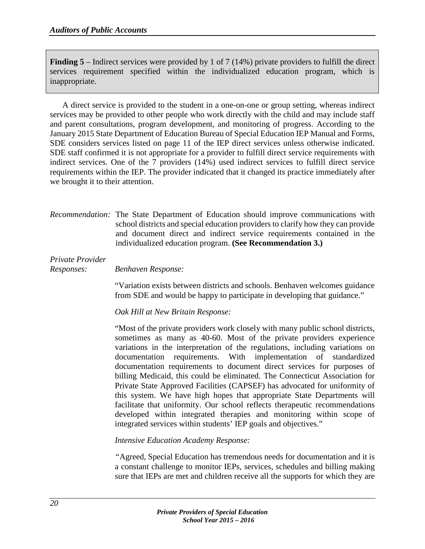**Finding 5** – Indirect services were provided by 1 of 7 (14%) private providers to fulfill the direct services requirement specified within the individualized education program, which is inappropriate.

A direct service is provided to the student in a one-on-one or group setting, whereas indirect services may be provided to other people who work directly with the child and may include staff and parent consultations, program development, and monitoring of progress. According to the January 2015 State Department of Education Bureau of Special Education IEP Manual and Forms, SDE considers services listed on page 11 of the IEP direct services unless otherwise indicated. SDE staff confirmed it is not appropriate for a provider to fulfill direct service requirements with indirect services. One of the 7 providers (14%) used indirect services to fulfill direct service requirements within the IEP. The provider indicated that it changed its practice immediately after we brought it to their attention.

*Recommendation:* The State Department of Education should improve communications with school districts and special education providers to clarify how they can provide and document direct and indirect service requirements contained in the individualized education program. **(See Recommendation 3.)**

## *Private Provider*

*Responses: Benhaven Response:*

"Variation exists between districts and schools. Benhaven welcomes guidance from SDE and would be happy to participate in developing that guidance."

*Oak Hill at New Britain Response:*

"Most of the private providers work closely with many public school districts, sometimes as many as 40-60. Most of the private providers experience variations in the interpretation of the regulations, including variations on documentation requirements. With implementation of standardized documentation requirements to document direct services for purposes of billing Medicaid, this could be eliminated. The Connecticut Association for Private State Approved Facilities (CAPSEF) has advocated for uniformity of this system. We have high hopes that appropriate State Departments will facilitate that uniformity. Our school reflects therapeutic recommendations developed within integrated therapies and monitoring within scope of integrated services within students' IEP goals and objectives."

*Intensive Education Academy Response:*

*"*Agreed, Special Education has tremendous needs for documentation and it is a constant challenge to monitor IEPs, services, schedules and billing making sure that IEPs are met and children receive all the supports for which they are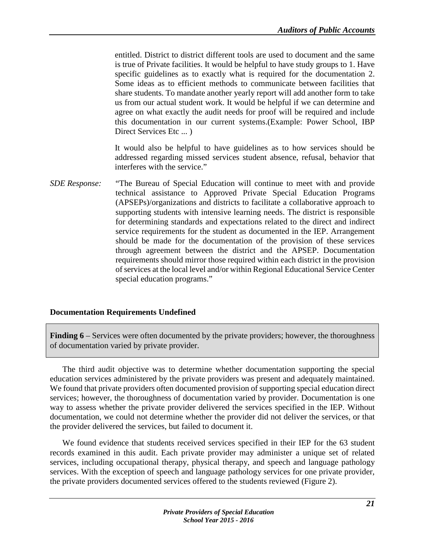entitled. District to district different tools are used to document and the same is true of Private facilities. It would be helpful to have study groups to 1. Have specific guidelines as to exactly what is required for the documentation 2. Some ideas as to efficient methods to communicate between facilities that share students. To mandate another yearly report will add another form to take us from our actual student work. It would be helpful if we can determine and agree on what exactly the audit needs for proof will be required and include this documentation in our current systems.(Example: Power School, IBP Direct Services Etc ... )

It would also be helpful to have guidelines as to how services should be addressed regarding missed services student absence, refusal, behavior that interferes with the service."

*SDE Response:* "The Bureau of Special Education will continue to meet with and provide technical assistance to Approved Private Special Education Programs (APSEPs)/organizations and districts to facilitate a collaborative approach to supporting students with intensive learning needs. The district is responsible for determining standards and expectations related to the direct and indirect service requirements for the student as documented in the IEP. Arrangement should be made for the documentation of the provision of these services through agreement between the district and the APSEP. Documentation requirements should mirror those required within each district in the provision of services at the local level and/or within Regional Educational Service Center special education programs."

# <span id="page-24-0"></span>**Documentation Requirements Undefined**

**Finding 6** – Services were often documented by the private providers; however, the thoroughness of documentation varied by private provider.

The third audit objective was to determine whether documentation supporting the special education services administered by the private providers was present and adequately maintained. We found that private providers often documented provision of supporting special education direct services; however, the thoroughness of documentation varied by provider. Documentation is one way to assess whether the private provider delivered the services specified in the IEP. Without documentation, we could not determine whether the provider did not deliver the services, or that the provider delivered the services, but failed to document it.

We found evidence that students received services specified in their IEP for the 63 student records examined in this audit. Each private provider may administer a unique set of related services, including occupational therapy, physical therapy, and speech and language pathology services. With the exception of speech and language pathology services for one private provider, the private providers documented services offered to the students reviewed (Figure 2).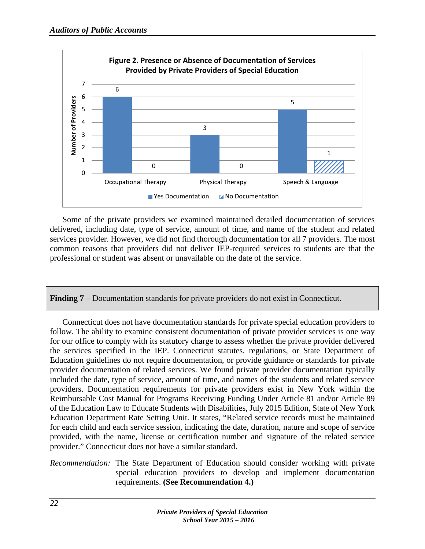

Some of the private providers we examined maintained detailed documentation of services delivered, including date, type of service, amount of time, and name of the student and related services provider. However, we did not find thorough documentation for all 7 providers. The most common reasons that providers did not deliver IEP-required services to students are that the professional or student was absent or unavailable on the date of the service.

**Finding 7** – Documentation standards for private providers do not exist in Connecticut.

Connecticut does not have documentation standards for private special education providers to follow. The ability to examine consistent documentation of private provider services is one way for our office to comply with its statutory charge to assess whether the private provider delivered the services specified in the IEP. Connecticut statutes, regulations, or State Department of Education guidelines do not require documentation, or provide guidance or standards for private provider documentation of related services. We found private provider documentation typically included the date, type of service, amount of time, and names of the students and related service providers. Documentation requirements for private providers exist in New York within the Reimbursable Cost Manual for Programs Receiving Funding Under Article 81 and/or Article 89 of the Education Law to Educate Students with Disabilities, July 2015 Edition, State of New York Education Department Rate Setting Unit. It states, "Related service records must be maintained for each child and each service session, indicating the date, duration, nature and scope of service provided, with the name, license or certification number and signature of the related service provider." Connecticut does not have a similar standard.

# *Recommendation:* The State Department of Education should consider working with private special education providers to develop and implement documentation requirements. **(See Recommendation 4.)**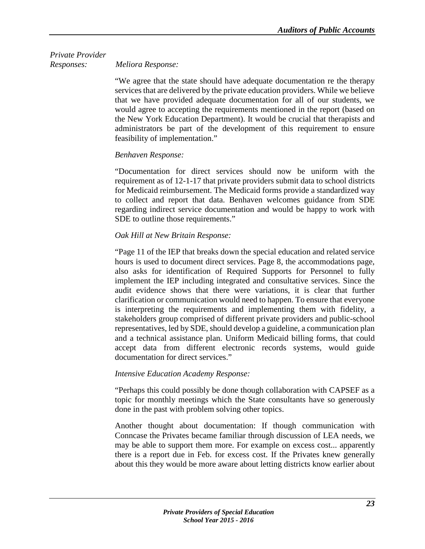# *Private Provider Responses: Meliora Response:*

"We agree that the state should have adequate documentation re the therapy services that are delivered by the private education providers. While we believe that we have provided adequate documentation for all of our students, we would agree to accepting the requirements mentioned in the report (based on the New York Education Department). It would be crucial that therapists and administrators be part of the development of this requirement to ensure feasibility of implementation."

# *Benhaven Response:*

"Documentation for direct services should now be uniform with the requirement as of 12-1-17 that private providers submit data to school districts for Medicaid reimbursement. The Medicaid forms provide a standardized way to collect and report that data. Benhaven welcomes guidance from SDE regarding indirect service documentation and would be happy to work with SDE to outline those requirements."

# *Oak Hill at New Britain Response:*

"Page 11 of the IEP that breaks down the special education and related service hours is used to document direct services. Page 8, the accommodations page, also asks for identification of Required Supports for Personnel to fully implement the IEP including integrated and consultative services. Since the audit evidence shows that there were variations, it is clear that further clarification or communication would need to happen. To ensure that everyone is interpreting the requirements and implementing them with fidelity, a stakeholders group comprised of different private providers and public-school representatives, led by SDE, should develop a guideline, a communication plan and a technical assistance plan. Uniform Medicaid billing forms, that could accept data from different electronic records systems, would guide documentation for direct services."

# *Intensive Education Academy Response:*

"Perhaps this could possibly be done though collaboration with CAPSEF as a topic for monthly meetings which the State consultants have so generously done in the past with problem solving other topics.

Another thought about documentation: If though communication with Conncase the Privates became familiar through discussion of LEA needs, we may be able to support them more. For example on excess cost... apparently there is a report due in Feb. for excess cost. If the Privates knew generally about this they would be more aware about letting districts know earlier about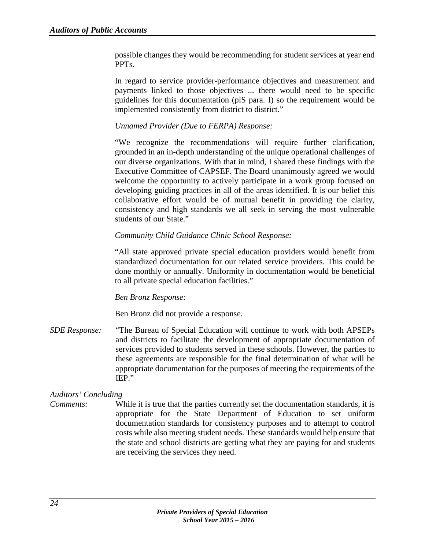possible changes they would be recommending for student services at year end PPTs.

In regard to service provider-performance objectives and measurement and payments linked to those objectives ... there would need to be specific guidelines for this documentation (plS para. I) so the requirement would be implemented consistently from district to district."

# *Unnamed Provider (Due to FERPA) Response:*

"We recognize the recommendations will require further clarification, grounded in an in-depth understanding of the unique operational challenges of our diverse organizations. With that in mind, I shared these findings with the Executive Committee of CAPSEF. The Board unanimously agreed we would welcome the opportunity to actively participate in a work group focused on developing guiding practices in all of the areas identified. It is our belief this collaborative effort would be of mutual benefit in providing the clarity, consistency and high standards we all seek in serving the most vulnerable students of our State."

## *Community Child Guidance Clinic School Response:*

"All state approved private special education providers would benefit from standardized documentation for our related service providers. This could be done monthly or annually. Uniformity in documentation would be beneficial to all private special education facilities."

#### *Ben Bronz Response:*

Ben Bronz did not provide a response.

*SDE Response:* "The Bureau of Special Education will continue to work with both APSEPs and districts to facilitate the development of appropriate documentation of services provided to students served in these schools. However, the parties to these agreements are responsible for the final determination of what will be appropriate documentation for the purposes of meeting the requirements of the IEP."

# *Auditors' Concluding*

*Comments:* While it is true that the parties currently set the documentation standards, it is appropriate for the State Department of Education to set uniform documentation standards for consistency purposes and to attempt to control costs while also meeting student needs. These standards would help ensure that the state and school districts are getting what they are paying for and students are receiving the services they need.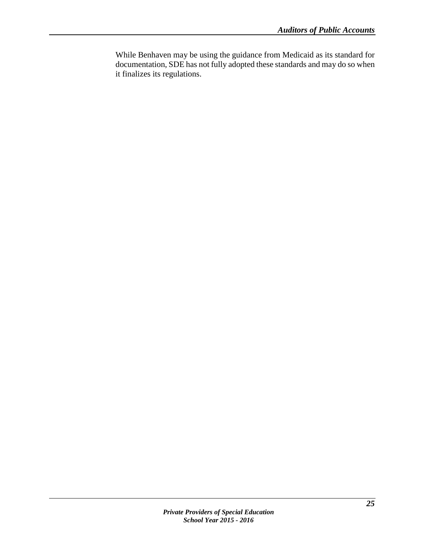While Benhaven may be using the guidance from Medicaid as its standard for documentation, SDE has not fully adopted these standards and may do so when it finalizes its regulations.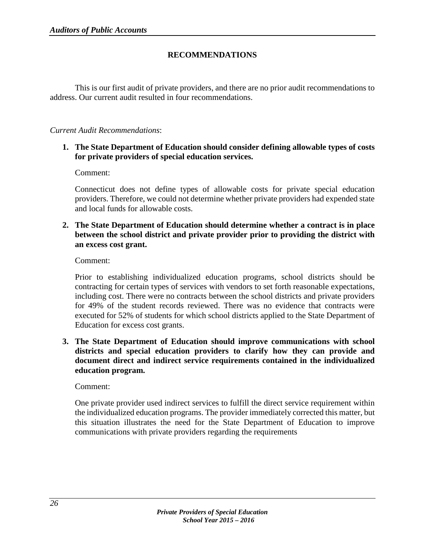# **RECOMMENDATIONS**

<span id="page-29-0"></span>This is our first audit of private providers, and there are no prior audit recommendations to address. Our current audit resulted in four recommendations.

## *Current Audit Recommendations*:

**1. The State Department of Education should consider defining allowable types of costs for private providers of special education services.**

Comment:

Connecticut does not define types of allowable costs for private special education providers. Therefore, we could not determine whether private providers had expended state and local funds for allowable costs.

**2. The State Department of Education should determine whether a contract is in place between the school district and private provider prior to providing the district with an excess cost grant.** 

Comment:

Prior to establishing individualized education programs, school districts should be contracting for certain types of services with vendors to set forth reasonable expectations, including cost. There were no contracts between the school districts and private providers for 49% of the student records reviewed. There was no evidence that contracts were executed for 52% of students for which school districts applied to the State Department of Education for excess cost grants.

**3. The State Department of Education should improve communications with school districts and special education providers to clarify how they can provide and document direct and indirect service requirements contained in the individualized education program.** 

Comment:

One private provider used indirect services to fulfill the direct service requirement within the individualized education programs. The provider immediately corrected this matter, but this situation illustrates the need for the State Department of Education to improve communications with private providers regarding the requirements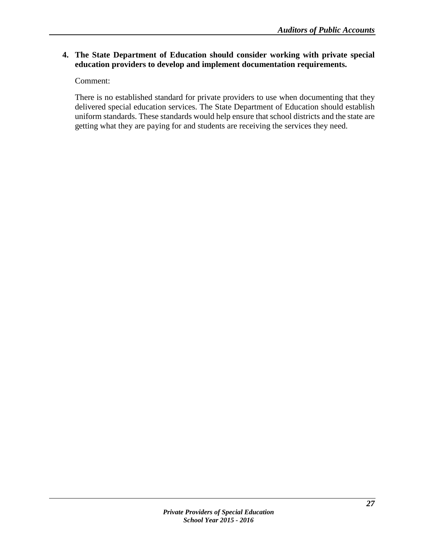# **4. The State Department of Education should consider working with private special education providers to develop and implement documentation requirements.**

Comment:

There is no established standard for private providers to use when documenting that they delivered special education services. The State Department of Education should establish uniform standards. These standards would help ensure that school districts and the state are getting what they are paying for and students are receiving the services they need.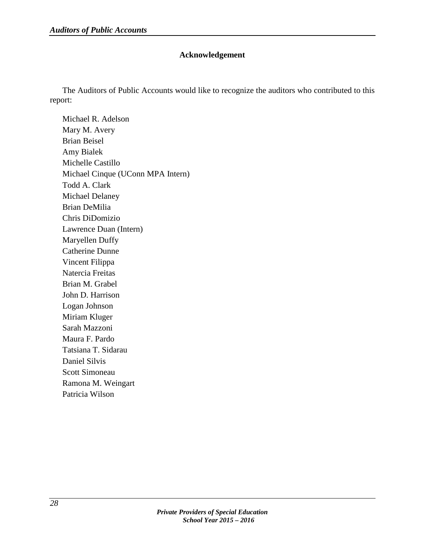# **Acknowledgement**

<span id="page-31-0"></span>The Auditors of Public Accounts would like to recognize the auditors who contributed to this report:

Michael R. Adelson Mary M. Avery Brian Beisel Amy Bialek Michelle Castillo Michael Cinque (UConn MPA Intern) Todd A. Clark Michael Delaney Brian DeMilia Chris DiDomizio Lawrence Duan (Intern) Maryellen Duffy Catherine Dunne Vincent Filippa Natercia Freitas Brian M. Grabel John D. Harrison Logan Johnson Miriam Kluger Sarah Mazzoni Maura F. Pardo Tatsiana T. Sidarau Daniel Silvis Scott Simoneau Ramona M. Weingart Patricia Wilson